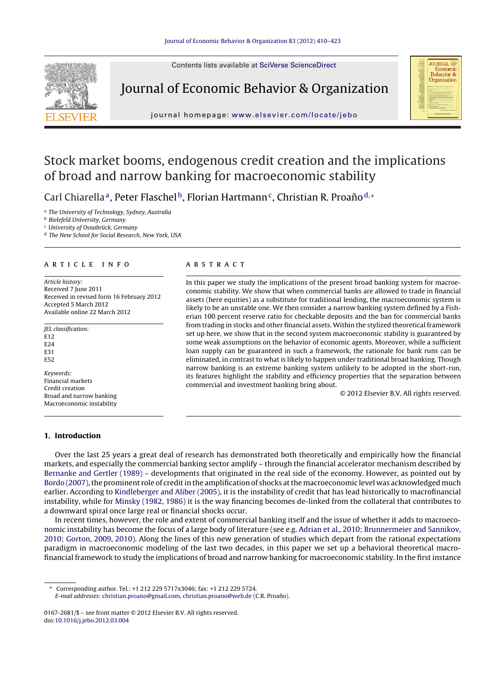Contents lists available at SciVerse [ScienceDirect](http://www.sciencedirect.com/science/journal/01672681)



## Journal of Economic Behavior & Organization



journal homepage: [www.elsevier.com/locate/jebo](http://www.elsevier.com/locate/jebo)

## Stock market booms, endogenous credit creation and the implications of broad and narrow banking for macroeconomic stability

Carl Chiarella<sup>a</sup>, Peter Flaschel<sup>b</sup>, Florian Hartmann<sup>c</sup>, Christian R. Proaño<sup>d,</sup>\*

<sup>a</sup> The University of Technology, Sydney, Australia

<sup>b</sup> Bielefeld University, Germany

 $\cdot$  University of Osnabrück, Germany

<sup>d</sup> The New School for Social Research, New York, USA

#### a r t i c l e i n f o

Article history: Received 7 June 2011 Received in revised form 16 February 2012 Accepted 5 March 2012 Available online 22 March 2012

JEL classification: E12 E24 E31 E52 Keywords: Financial markets Credit creation Broad and narrow banking Macroeconomic instability

#### **1. Introduction**

### A B S T R A C T

In this paper we study the implications of the present broad banking system for macroeconomic stability. We show that when commercial banks are allowed to trade in financial assets (here equities) as a substitute for traditional lending, the macroeconomic system is likely to be an unstable one. We then consider a narrow banking system defined by a Fisherian 100 percent reserve ratio for checkable deposits and the ban for commercial banks from trading in stocks and other financial assets. Within the stylized theoretical framework set up here, we show that in the second system macroeconomic stability is guaranteed by some weak assumptions on the behavior of economic agents. Moreover, while a sufficient loan supply can be guaranteed in such a framework, the rationale for bank runs can be eliminated, in contrast to what is likely to happen under traditional broad banking. Though narrow banking is an extreme banking system unlikely to be adopted in the short-run, its features highlight the stability and efficiency properties that the separation between commercial and investment banking bring about.

© 2012 Elsevier B.V. All rights reserved.

Over the last 25 years a great deal of research has demonstrated both theoretically and empirically how the financial markets, and especially the commercial banking sector amplify – through the financial accelerator mechanism described by [Bernanke](#page--1-0) [and](#page--1-0) [Gertler](#page--1-0) [\(1989\)](#page--1-0) – developments that originated in the real side of the economy. However, as pointed out by [Bordo](#page--1-0) (2007), the prominent role of credit in the amplification of shocks at the macroeconomic level was acknowledged much earlier. According to [Kindleberger](#page--1-0) [and](#page--1-0) [Aliber](#page--1-0) [\(2005\),](#page--1-0) it is the instability of credit that has lead historically to macrofinancial instability, while for [Minsky](#page--1-0) [\(1982,](#page--1-0) [1986\)](#page--1-0) it is the way financing becomes de-linked from the collateral that contributes to a downward spiral once large real or financial shocks occur.

In recent times, however, the role and extent of commercial banking itself and the issue of whether it adds to macroeconomic instability has become the focus of a large body of literature (see e.g. [Adrian](#page--1-0) et [al.,](#page--1-0) [2010;](#page--1-0) [Brunnermeier](#page--1-0) [and](#page--1-0) [Sannikov,](#page--1-0) [2010;](#page--1-0) [Gorton,](#page--1-0) [2009,](#page--1-0) [2010\).](#page--1-0) Along the lines of this new generation of studies which depart from the rational expectations paradigm in macroeconomic modeling of the last two decades, in this paper we set up a behavioral theoretical macrofinancial framework to study the implications of broad and narrow banking for macroeconomic stability. In the first instance

∗ Corresponding author. Tel.: +1 212 229 5717x3046; fax: +1 212 229 5724. E-mail addresses: [christian.proano@gmail.com,](mailto:christian.proano@gmail.com) [christian.proano@web.de](mailto:christian.proano@web.de) (C.R. Proaño).

<sup>0167-2681/\$</sup> – see front matter © 2012 Elsevier B.V. All rights reserved. doi:[10.1016/j.jebo.2012.03.004](dx.doi.org/10.1016/j.jebo.2012.03.004)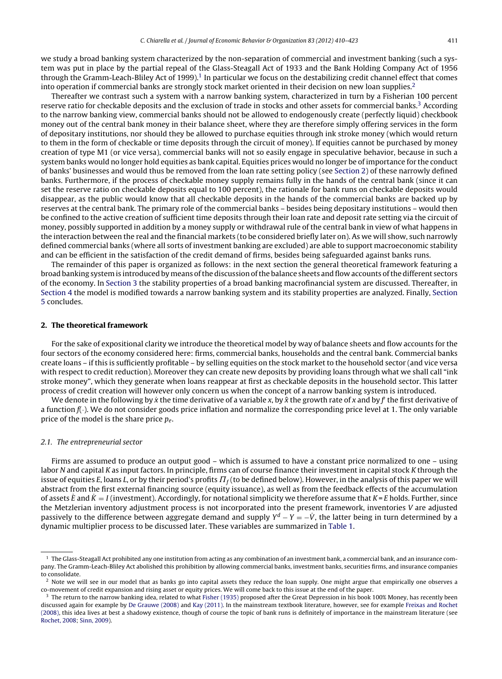we study a broad banking system characterized by the non-separation of commercial and investment banking (such a system was put in place by the partial repeal of the Glass-Steagall Act of 1933 and the Bank Holding Company Act of 1956 through the Gramm-Leach-Bliley Act of 1999).<sup>1</sup> In particular we focus on the destabilizing credit channel effect that comes into operation if commercial banks are strongly stock market oriented in their decision on new loan supplies.2

Thereafter we contrast such a system with a narrow banking system, characterized in turn by a Fisherian 100 percent reserve ratio for checkable deposits and the exclusion of trade in stocks and other assets for commercial banks.3 According to the narrow banking view, commercial banks should not be allowed to endogenously create (perfectly liquid) checkbook money out of the central bank money in their balance sheet, where they are therefore simply offering services in the form of depositary institutions, nor should they be allowed to purchase equities through ink stroke money (which would return to them in the form of checkable or time deposits through the circuit of money). If equities cannot be purchased by money creation of type M1 (or vice versa), commercial banks will not so easily engage in speculative behavior, because in such a system banks would no longer hold equities as bank capital. Equities prices would no longer be of importance for the conduct of banks' businesses and would thus be removed from the loan rate setting policy (see Section 2) of these narrowly defined banks. Furthermore, if the process of checkable money supply remains fully in the hands of the central bank (since it can set the reserve ratio on checkable deposits equal to 100 percent), the rationale for bank runs on checkable deposits would disappear, as the public would know that all checkable deposits in the hands of the commercial banks are backed up by reserves at the central bank. The primary role of the commercial banks – besides being depositary institutions – would then be confined to the active creation of sufficient time deposits through their loan rate and deposit rate setting via the circuit of money, possibly supported in addition by a money supply or withdrawal rule of the central bank in view of what happens in the interaction between the real and the financial markets (to be considered briefly later on). As we will show, such narrowly defined commercial banks (where all sorts of investment banking are excluded) are able to support macroeconomic stability and can be efficient in the satisfaction of the credit demand of firms, besides being safeguarded against banks runs.

The remainder of this paper is organized as follows: in the next section the general theoretical framework featuring a broad banking system is introduced by means ofthe discussion ofthe balance sheets and flow accounts ofthe different sectors of the economy. In [Section](#page--1-0) [3](#page--1-0) the stability properties of a broad banking macrofinancial system are discussed. Thereafter, in [Section](#page--1-0) [4](#page--1-0) the model is modified towards a narrow banking system and its stability properties are analyzed. Finally, [Section](#page--1-0) [5](#page--1-0) concludes.

### **2. The theoretical framework**

For the sake of expositional clarity we introduce the theoretical model by way of balance sheets and flow accounts for the four sectors of the economy considered here: firms, commercial banks, households and the central bank. Commercial banks create loans – if this is sufficiently profitable – by selling equities on the stock market to the household sector (and vice versa with respect to credit reduction). Moreover they can create new deposits by providing loans through what we shall call "ink stroke money", which they generate when loans reappear at first as checkable deposits in the household sector. This latter process of credit creation will however only concern us when the concept of a narrow banking system is introduced.

We denote in the following by  $\dot{x}$  the time derivative of a variable x, by  $\hat{x}$  the growth rate of x and by  $f$  the first derivative of a function  $f(\cdot)$ . We do not consider goods price inflation and normalize the corresponding price level at 1. The only variable price of the model is the share price  $p_e$ .

### 2.1. The entrepreneurial sector

Firms are assumed to produce an output good – which is assumed to have a constant price normalized to one – using labor N and capital K as input factors. In principle, firms can of course finance their investment in capital stock K through the issue of equities E, loans L, or by their period's profits  $\Pi_f$  (to be defined below). However, in the analysis of this paper we will abstract from the first external financing source (equity issuance), as well as from the feedback effects of the accumulation of assets E and  $K = I$  (investment). Accordingly, for notational simplicity we therefore assume that  $K = E$  holds. Further, since the Metzlerian inventory adjustment process is not incorporated into the present framework, inventories V are adjusted passively to the difference between aggregate demand and supply  $Y^d - Y = -V$ , the latter being in turn determined by a dynamic multiplier process to be discussed later. These variables are summarized in [Table](#page--1-0) 1.

 $^{\rm 1}$  The Glass-Steagall Act prohibited any one institution from acting as any combination of an investment bank, a commercial bank, and an insurance company. The Gramm-Leach-Bliley Act abolished this prohibition by allowing commercial banks, investment banks, securities firms, and insurance companies to consolidate.

<sup>&</sup>lt;sup>2</sup> Note we will see in our model that as banks go into capital assets they reduce the loan supply. One might argue that empirically one observes a co-movement of credit expansion and rising asset or equity prices. We will come back to this issue at the end of the paper.

 $3$  The return to the narrow banking idea, related to what [Fisher](#page--1-0) [\(1935\)](#page--1-0) proposed after the Great Depression in his book 100% Money, has recently been discussed again for example by [De](#page--1-0) [Grauwe](#page--1-0) [\(2008\)](#page--1-0) and [Kay](#page--1-0) [\(2011\).](#page--1-0) In the mainstream textbook literature, however, see for example [Freixas](#page--1-0) [and](#page--1-0) [Rochet](#page--1-0) [\(2008\),](#page--1-0) this idea lives at best a shadowy existence, though of course the topic of bank runs is definitely of importance in the mainstream literature (see [Rochet,](#page--1-0) [2008;](#page--1-0) [Sinn,](#page--1-0) [2009\).](#page--1-0)